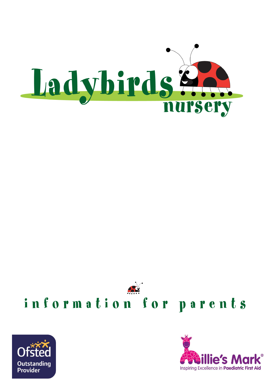





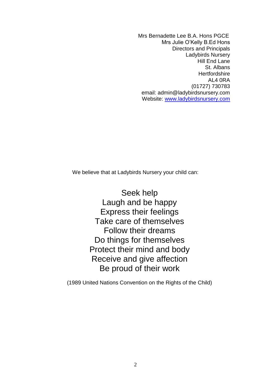Mrs Bernadette Lee B.A. Hons PGCE Mrs Julie O'Kelly B.Ed Hons Directors and Principals Ladybirds Nursery Hill End Lane St. Albans **Hertfordshire** AL4 0RA (01727) 730783 email: admin@ladybirdsnursery.com Website: [www.ladybirdsnursery.com](http://www.ladybirdsnursery.com/)

We believe that at Ladybirds Nursery your child can:

Seek help Laugh and be happy Express their feelings Take care of themselves Follow their dreams Do things for themselves Protect their mind and body Receive and give affection Be proud of their work

(1989 United Nations Convention on the Rights of the Child)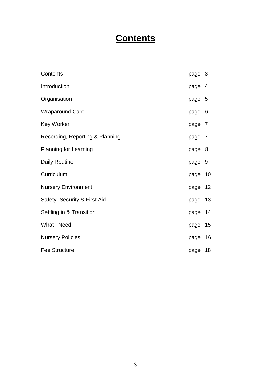# **Contents**

| Contents                        | page 3 |     |
|---------------------------------|--------|-----|
| Introduction                    | page 4 |     |
| Organisation                    | page 5 |     |
| <b>Wraparound Care</b>          | page 6 |     |
| <b>Key Worker</b>               | page 7 |     |
| Recording, Reporting & Planning | page 7 |     |
| <b>Planning for Learning</b>    | page   | - 8 |
| <b>Daily Routine</b>            | page 9 |     |
| Curriculum                      | page   | 10  |
| <b>Nursery Environment</b>      | page   | 12  |
| Safety, Security & First Aid    | page   | 13  |
| Settling in & Transition        | page   | 14  |
| <b>What I Need</b>              | page   | 15  |
| <b>Nursery Policies</b>         | page   | 16  |
| <b>Fee Structure</b>            | page   | 18  |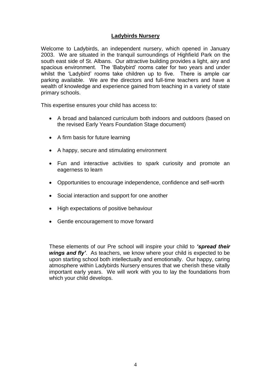## **Ladybirds Nursery**

Welcome to Ladybirds, an independent nursery, which opened in January 2003. We are situated in the tranquil surroundings of Highfield Park on the south east side of St. Albans. Our attractive building provides a light, airy and spacious environment. The 'Babybird' rooms cater for two years and under whilst the 'Ladybird' rooms take children up to five. There is ample car parking available. We are the directors and full-time teachers and have a wealth of knowledge and experience gained from teaching in a variety of state primary schools.

This expertise ensures your child has access to:

- A broad and balanced curriculum both indoors and outdoors (based on the revised Early Years Foundation Stage document)
- A firm basis for future learning
- A happy, secure and stimulating environment
- Fun and interactive activities to spark curiosity and promote an eagerness to learn
- Opportunities to encourage independence, confidence and self-worth
- Social interaction and support for one another
- High expectations of positive behaviour
- Gentle encouragement to move forward

These elements of our Pre school will inspire your child to *'spread their wings and fly'*. As teachers, we know where your child is expected to be upon starting school both intellectually and emotionally. Our happy, caring atmosphere within Ladybirds Nursery ensures that we cherish these vitally important early years. We will work with you to lay the foundations from which your child develops.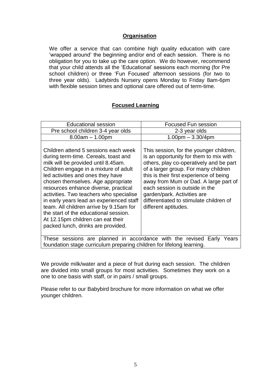## **Organisation**

We offer a service that can combine high quality education with care 'wrapped around' the beginning and/or end of each session. There is no obligation for you to take up the care option. We do however, recommend that your child attends all the 'Educational' sessions each morning (for Pre school children) or three 'Fun Focused' afternoon sessions (for two to three year olds). Ladybirds Nursery opens Monday to Friday 8am-6pm with flexible session times and optional care offered out of term-time.

## **Focused Learning**

| <b>Educational session</b>                                                                                                                                                                                                                                                                                                                                                                                                                                                                                                            | <b>Focused Fun session</b>                                                                                                                                                                                                                                                                                                                                                                   |  |
|---------------------------------------------------------------------------------------------------------------------------------------------------------------------------------------------------------------------------------------------------------------------------------------------------------------------------------------------------------------------------------------------------------------------------------------------------------------------------------------------------------------------------------------|----------------------------------------------------------------------------------------------------------------------------------------------------------------------------------------------------------------------------------------------------------------------------------------------------------------------------------------------------------------------------------------------|--|
| Pre school children 3-4 year olds                                                                                                                                                                                                                                                                                                                                                                                                                                                                                                     | 2-3 year olds                                                                                                                                                                                                                                                                                                                                                                                |  |
| $8.00am - 1.00pm$                                                                                                                                                                                                                                                                                                                                                                                                                                                                                                                     | $1.00pm - 3.30/4pm$                                                                                                                                                                                                                                                                                                                                                                          |  |
| Children attend 5 sessions each week<br>during term-time. Cereals, toast and<br>milk will be provided until 8.45am.<br>Children engage in a mixture of adult<br>led activities and ones they have<br>chosen themselves. Age appropriate<br>resources enhance diverse, practical<br>activities. Two teachers who specialise<br>in early years lead an experienced staff<br>team. All children arrive by 9.15am for<br>the start of the educational session.<br>At 12.15pm children can eat their<br>packed lunch, drinks are provided. | This session, for the younger children,<br>is an opportunity for them to mix with<br>others, play co-operatively and be part<br>of a larger group. For many children<br>this is their first experience of being<br>away from Mum or Dad. A large part of<br>each session is outside in the<br>garden/park. Activities are<br>differentiated to stimulate children of<br>different aptitudes. |  |
| These sessions are planned in accordance with the revised Early Years<br>foundation stage curriculum preparing children for lifelong learning.                                                                                                                                                                                                                                                                                                                                                                                        |                                                                                                                                                                                                                                                                                                                                                                                              |  |

We provide milk/water and a piece of fruit during each session. The children are divided into small groups for most activities. Sometimes they work on a one to one basis with staff, or in pairs / small groups.

Please refer to our Babybird brochure for more information on what we offer younger children.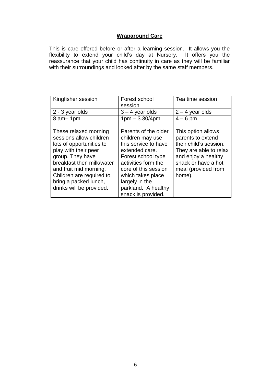# **Wraparound Care**

This is care offered before or after a learning session. It allows you the flexibility to extend your child's day at Nursery. It offers you the reassurance that your child has continuity in care as they will be familiar with their surroundings and looked after by the same staff members.

| Kingfisher session        | Forest school        | Tea time session       |
|---------------------------|----------------------|------------------------|
|                           | session              |                        |
| 2 - 3 year olds           | $3 - 4$ year olds    | $2 - 4$ year olds      |
| $8$ am $-$ 1pm            | $1pm - 3.30/4pm$     | $4-6$ pm               |
|                           |                      |                        |
| These relaxed morning     | Parents of the older | This option allows     |
| sessions allow children   | children may use     | parents to extend      |
| lots of opportunities to  | this service to have | their child's session. |
| play with their peer      | extended care.       | They are able to relax |
| group. They have          | Forest school type   | and enjoy a healthy    |
| breakfast then milk/water | activities form the  | snack or have a hot    |
| and fruit mid morning.    | core of this session | meal (provided from    |
| Children are required to  | which takes place    | home).                 |
| bring a packed lunch,     | largely in the       |                        |
| drinks will be provided.  | parkland. A healthy  |                        |
|                           | snack is provided.   |                        |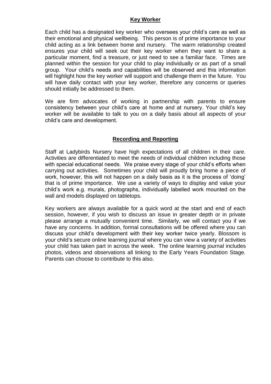#### **Key Worker**

Each child has a designated key worker who oversees your child's care as well as their emotional and physical wellbeing. This person is of prime importance to your child acting as a link between home and nursery. The warm relationship created ensures your child will seek out their key worker when they want to share a particular moment, find a treasure, or just need to see a familiar face. Times are planned within the session for your child to play individually or as part of a small group. Your child's needs and capabilities will be observed and this information will highlight how the key worker will support and challenge them in the future. You will have daily contact with your key worker, therefore any concerns or queries should initially be addressed to them.

We are firm advocates of working in partnership with parents to ensure consistency between your child's care at home and at nursery. Your child's key worker will be available to talk to you on a daily basis about all aspects of your child's care and development.

## **Recording and Reporting**

Staff at Ladybirds Nursery have high expectations of all children in their care. Activities are differentiated to meet the needs of individual children including those with special educational needs. We praise every stage of your child's efforts when carrying out activities. Sometimes your child will proudly bring home a piece of work, however, this will not happen on a daily basis as it is the process of 'doing' that is of prime importance. We use a variety of ways to display and value your child's work e.g. murals, photographs, individually labelled work mounted on the wall and models displayed on tabletops.

Key workers are always available for a quick word at the start and end of each session, however, if you wish to discuss an issue in greater depth or in private please arrange a mutually convenient time. Similarly, we will contact you if we have any concerns. In addition, formal consultations will be offered where you can discuss your child's development with their key worker twice yearly. Blossom is your child's secure online learning journal where you can view a variety of activities your child has taken part in across the week. The online learning journal includes photos, videos and observations all linking to the Early Years Foundation Stage. Parents can choose to contribute to this also.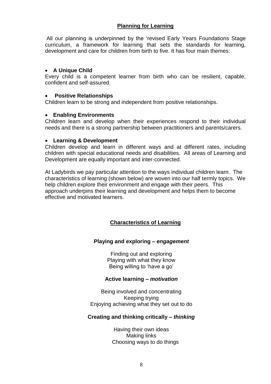# **Planning for Learning**

All our planning is underpinned by the 'revised Early Years Foundations Stage curriculum, a framework for learning that sets the standards for learning, development and care for children from birth to five. It has four main themes:

## **A Unique Child**

Every child is a competent learner from birth who can be resilient, capable, confident and self-assured.

## **Positive Relationships**

Children learn to be strong and independent from positive relationships.

## **Enabling Environments**

Children learn and develop when their experiences respond to their individual needs and there is a strong partnership between practitioners and parents/carers.

#### **Learning & Development**

Children develop and learn in different ways and at different rates, including children with special educational needs and disabilities. All areas of Learning and Development are equally important and inter-connected.

At Ladybirds we pay particular attention to the ways individual children learn. The characteristics of learning (shown below) are woven into our half termly topics. We help children explore their environment and engage with their peers. This approach underpins their learning and development and helps them to become effective and motivated learners.

## **Characteristics of Learning**

## **Playing and exploring** *– engagement*

Finding out and exploring Playing with what they know Being willing to 'have a go'

## **Active learning** *– motivation*

Being involved and concentrating Keeping trying Enjoying achieving what they set out to do

## **Creating and thinking critically** *– thinking*

Having their own ideas Making links Choosing ways to do things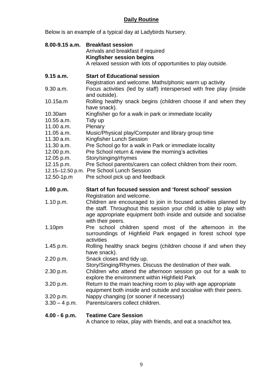# **Daily Routine**

Below is an example of a typical day at Ladybirds Nursery.

|                 | 8.00-9.15 a.m. Breakfast session<br>Arrivals and breakfast if required<br>Kingfisher session begins<br>A relaxed session with lots of opportunities to play outside.                                                           |
|-----------------|--------------------------------------------------------------------------------------------------------------------------------------------------------------------------------------------------------------------------------|
| 9.15 a.m.       | <b>Start of Educational session</b><br>Registration and welcome. Maths/phonic warm up activity                                                                                                                                 |
| 9.30 a.m.       | Focus activities (led by staff) interspersed with free play (inside<br>and outside).                                                                                                                                           |
| 10.15a.m        | Rolling healthy snack begins (children choose if and when they<br>have snack).                                                                                                                                                 |
| 10.30am         | Kingfisher go for a walk in park or immediate locality                                                                                                                                                                         |
| 10.55 a.m.      | Tidy up                                                                                                                                                                                                                        |
| 11.00 a.m.      | Plenary                                                                                                                                                                                                                        |
| $11.05$ a.m.    | Music/Physical play/Computer and library group time                                                                                                                                                                            |
| 11.30 a.m.      | Kingfisher Lunch Session                                                                                                                                                                                                       |
| 11.30 a.m.      | Pre School go for a walk in Park or immediate locality                                                                                                                                                                         |
| 12.00 p.m.      | Pre School return & review the morning's activities                                                                                                                                                                            |
| 12.05 p.m.      | Story/singing/rhymes                                                                                                                                                                                                           |
| 12.15 p.m.      | Pre School parents/carers can collect children from their room.                                                                                                                                                                |
|                 | 12.15-12.50 p.m. Pre School Lunch Session                                                                                                                                                                                      |
| 12.50-1p.m      | Pre school pick up and feedback                                                                                                                                                                                                |
| 1.00 p.m.       | Start of fun focused session and 'forest school' session<br>Registration and welcome.                                                                                                                                          |
| 1.10 p.m.       | Children are encouraged to join in focused activities planned by<br>the staff. Throughout this session your child is able to play with<br>age appropriate equipment both inside and outside and socialise<br>with their peers. |
| 1.10pm          | Pre school children spend most of the afternoon in the<br>surroundings of Highfield Park engaged in forest school type<br>activities                                                                                           |
| 1.45 p.m.       | Rolling healthy snack begins (children choose if and when they<br>have snack).                                                                                                                                                 |
| 2.20 p.m.       | Snack closes and tidy up.<br>Story/Singing/Rhymes. Discuss the destination of their walk.                                                                                                                                      |
| 2.30 p.m.       | Children who attend the afternoon session go out for a walk to<br>explore the environment within Highfield Park                                                                                                                |
| 3.20 p.m.       | Return to the main teaching room to play with age appropriate<br>equipment both inside and outside and socialise with their peers.                                                                                             |
| 3.20 p.m.       | Nappy changing (or sooner if necessary)                                                                                                                                                                                        |
| $3.30 - 4$ p.m. | Parents/carers collect children.                                                                                                                                                                                               |

**4.00 - 6 p.m. Teatime Care Session**

A chance to relax, play with friends, and eat a snack/hot tea.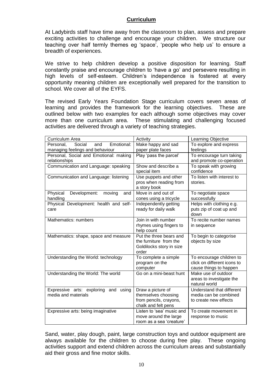#### **Curriculum**

At Ladybirds staff have time away from the classroom to plan, assess and prepare exciting activities to challenge and encourage your children. We structure our teaching over half termly themes eg 'space', 'people who help us' to ensure a breadth of experiences.

We strive to help children develop a positive disposition for learning. Staff constantly praise and encourage children to 'have a go' and persevere resulting in high levels of self-esteem. Children's independence is fostered at every opportunity meaning children are exceptionally well prepared for the transition to school. We cover all of the EYFS.

The revised Early Years Foundation Stage curriculum covers seven areas of learning and provides the framework for the learning objectives. These are outlined below with two examples for each although some objectives may cover more than one curriculum area. These stimulating and challenging focused activities are delivered through a variety of teaching strategies.

| Curriculum Area                                                             | Activity                                                                                  | Learning Objective                                                                |
|-----------------------------------------------------------------------------|-------------------------------------------------------------------------------------------|-----------------------------------------------------------------------------------|
| Emotional:<br>Social<br>Personal.<br>and<br>managing feelings and behaviour | Make happy and sad<br>paper plate faces                                                   | To explore and express<br>feelings                                                |
| Personal, Social and Emotional: making<br>relationships                     | Play 'pass the parcel'                                                                    | To encourage turn taking<br>and promote co-operation                              |
| Communication and Language: speaking                                        | Show and describe a<br>special item                                                       | To speak with growing<br>confidence                                               |
| Communication and Language: listening                                       | Use puppets and other<br>pros when reading from<br>a story book                           | To listen with interest to<br>stories.                                            |
| Physical<br>Development:<br>moving<br>and<br>handling                       | Move in and out of<br>cones using a tricycle                                              | To negotiate space<br>successfully                                                |
| Physical Development: health and self-<br>care                              | Independently getting<br>ready for daily walk                                             | Helps with clothing e.g.<br>puts zip of coat up and<br>down                       |
| Mathematics: numbers                                                        | Join in with number<br>rhymes using fingers to<br>help count                              | To recite number names<br>in sequence                                             |
| Mathematics: shape, space and measure                                       | Put the three bears and<br>the furniture from the<br>Goldilocks story in size<br>order    | To begin to categorise<br>objects by size                                         |
| Understanding the World: technology                                         | To complete a simple<br>program on the<br>computer                                        | To encourage children to<br>click on different icons to<br>cause things to happen |
| Understanding the World: The world                                          | Go on a mini-beast hunt                                                                   | Make use of outdoor<br>areas to investigate the<br>natural world                  |
| Expressive arts: exploring and using<br>media and materials                 | Draw a picture of<br>themselves choosing<br>from pencils, crayons,<br>chalk and felt pens | Understand that different<br>media can be combined<br>to create new effects       |
| Expressive arts: being imaginative                                          | Listen to 'sea' music and<br>move around the large<br>room as a sea 'creature'            | To create movement in<br>response to music                                        |

Sand, water, play dough, paint, large construction toys and outdoor equipment are always available for the children to choose during free play. These ongoing activities support and extend children across the curriculum areas and substantially aid their gross and fine motor skills.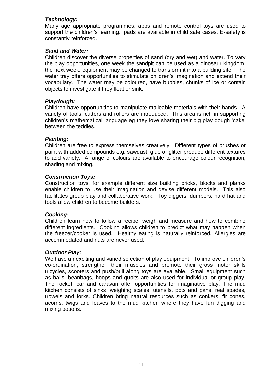## *Technology:*

Many age appropriate programmes, apps and remote control toys are used to support the children's learning. Ipads are available in child safe cases. E-safety is constantly reinforced.

## *Sand and Water:*

Children discover the diverse properties of sand (dry and wet) and water. To vary the play opportunities, one week the sandpit can be used as a dinosaur kingdom, the next week, equipment may be changed to transform it into a building site! The water tray offers opportunities to stimulate children's imagination and extend their vocabulary. The water may be coloured, have bubbles, chunks of ice or contain objects to investigate if they float or sink.

## *Playdough:*

Children have opportunities to manipulate malleable materials with their hands. A variety of tools, cutters and rollers are introduced. This area is rich in supporting children's mathematical language eg they love sharing their big play dough 'cake' between the teddies.

#### *Painting:*

Children are free to express themselves creatively. Different types of brushes or paint with added compounds e.g. sawdust, glue or glitter produce different textures to add variety. A range of colours are available to encourage colour recognition, shading and mixing.

#### *Construction Toys:*

Construction toys, for example different size building bricks, blocks and planks enable children to use their imagination and devise different models. This also facilitates group play and collaborative work. Toy diggers, dumpers, hard hat and tools allow children to become builders.

#### *Cooking:*

Children learn how to follow a recipe, weigh and measure and how to combine different ingredients. Cooking allows children to predict what may happen when the freezer/cooker is used. Healthy eating is naturally reinforced. Allergies are accommodated and nuts are never used.

#### *Outdoor Play:*

We have an exciting and varied selection of play equipment. To improve children's co-ordination, strengthen their muscles and promote their gross motor skills tricycles, scooters and push/pull along toys are available. Small equipment such as balls, beanbags, hoops and quoits are also used for individual or group play. The rocket, car and caravan offer opportunities for imaginative play. The mud kitchen consists of sinks, weighing scales, utensils, pots and pans, real spades, trowels and forks. Children bring natural resources such as conkers, fir cones, acorns, twigs and leaves to the mud kitchen where they have fun digging and mixing potions.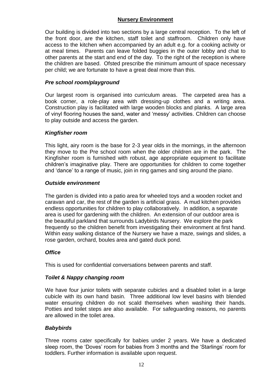## **Nursery Environment**

Our building is divided into two sections by a large central reception. To the left of the front door, are the kitchen, staff toilet and staffroom. Children only have access to the kitchen when accompanied by an adult e.g. for a cooking activity or at meal times. Parents can leave folded buggies in the outer lobby and chat to other parents at the start and end of the day. To the right of the reception is where the children are based. Ofsted prescribe the minimum amount of space necessary per child; we are fortunate to have a great deal more than this.

## *Pre school room/playground*

Our largest room is organised into curriculum areas. The carpeted area has a book corner, a role-play area with dressing-up clothes and a writing area. Construction play is facilitated with large wooden blocks and planks. A large area of vinyl flooring houses the sand, water and 'messy' activities. Children can choose to play outside and access the garden.

## *Kingfisher room*

This light, airy room is the base for 2-3 year olds in the mornings, in the afternoon they move to the Pre school room when the older children are in the park. The Kingfisher room is furnished with robust, age appropriate equipment to facilitate children's imaginative play. There are opportunities for children to come together and 'dance' to a range of music, join in ring games and sing around the piano.

## *Outside environment*

The garden is divided into a patio area for wheeled toys and a wooden rocket and caravan and car, the rest of the garden is artificial grass. A mud kitchen provides endless opportunities for children to play collaboratively. In addition, a separate area is used for gardening with the children. An extension of our outdoor area is the beautiful parkland that surrounds Ladybirds Nursery. We explore the park frequently so the children benefit from investigating their environment at first hand. Within easy walking distance of the Nursery we have a maze, swings and slides, a rose garden, orchard, boules area and gated duck pond.

## *Office*

This is used for confidential conversations between parents and staff.

## *Toilet & Nappy changing room*

We have four junior toilets with separate cubicles and a disabled toilet in a large cubicle with its own hand basin. Three additional low level basins with blended water ensuring children do not scald themselves when washing their hands. Potties and toilet steps are also available. For safeguarding reasons, no parents are allowed in the toilet area.

## *Babybirds*

Three rooms cater specifically for babies under 2 years. We have a dedicated sleep room, the 'Doves' room for babies from 3 months and the 'Starlings' room for toddlers. Further information is available upon request.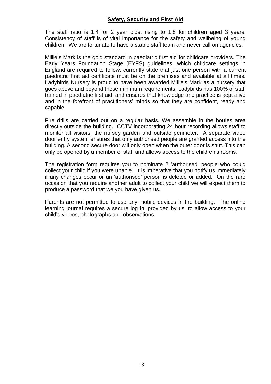## **Safety, Security and First Aid**

The staff ratio is 1:4 for 2 year olds, rising to 1:8 for children aged 3 years. Consistency of staff is of vital importance for the safety and wellbeing of young children. We are fortunate to have a stable staff team and never call on agencies.

Millie's Mark is the gold standard in paediatric first aid for childcare providers. The Early Years Foundation Stage (EYFS) guidelines, which childcare settings in England are required to follow, currently state that just one person with a current paediatric first aid certificate must be on the premises and available at all times. Ladybirds Nursery is proud to have been awarded Millie's Mark as a nursery that goes above and beyond these minimum requirements. Ladybirds has 100% of staff trained in paediatric first aid, and ensures that knowledge and practice is kept alive and in the forefront of practitioners' minds so that they are confident, ready and capable.

Fire drills are carried out on a regular basis. We assemble in the boules area directly outside the building. CCTV incorporating 24 hour recording allows staff to monitor all visitors, the nursey garden and outside perimeter. A separate video door entry system ensures that only authorised people are granted access into the building. A second secure door will only open when the outer door is shut. This can only be opened by a member of staff and allows access to the children's rooms.

The registration form requires you to nominate 2 'authorised' people who could collect your child if you were unable. It is imperative that you notify us immediately if any changes occur or an 'authorised' person is deleted or added. On the rare occasion that you require another adult to collect your child we will expect them to produce a password that we you have given us.

Parents are not permitted to use any mobile devices in the building. The online learning journal requires a secure log in, provided by us, to allow access to your child's videos, photographs and observations.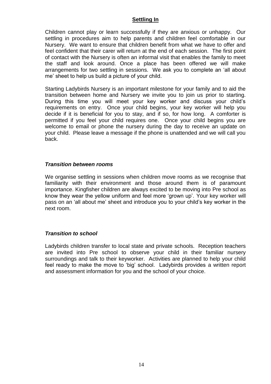## **Settling In**

Children cannot play or learn successfully if they are anxious or unhappy. Our settling in procedures aim to help parents and children feel comfortable in our Nursery. We want to ensure that children benefit from what we have to offer and feel confident that their carer will return at the end of each session. The first point of contact with the Nursery is often an informal visit that enables the family to meet the staff and look around. Once a place has been offered we will make arrangements for two settling in sessions. We ask you to complete an 'all about me' sheet to help us build a picture of your child.

Starting Ladybirds Nursery is an important milestone for your family and to aid the transition between home and Nursery we invite you to join us prior to starting. During this time you will meet your key worker and discuss your child's requirements on entry. Once your child begins, your key worker will help you decide if it is beneficial for you to stay, and if so, for how long. A comforter is permitted if you feel your child requires one. Once your child begins you are welcome to email or phone the nursery during the day to receive an update on your child. Please leave a message if the phone is unattended and we will call you back.

#### *Transition between rooms*

We organise settling in sessions when children move rooms as we recognise that familiarity with their environment and those around them is of paramount importance. Kingfisher children are always excited to be moving into Pre school as know they wear the yellow uniform and feel more 'grown up'. Your key worker will pass on an 'all about me' sheet and introduce you to your child's key worker in the next room.

## *Transition to school*

Ladybirds children transfer to local state and private schools. Reception teachers are invited into Pre school to observe your child in their familiar nursery surroundings and talk to their keyworker. Activities are planned to help your child feel ready to make the move to 'big' school. Ladybirds provides a written report and assessment information for you and the school of your choice.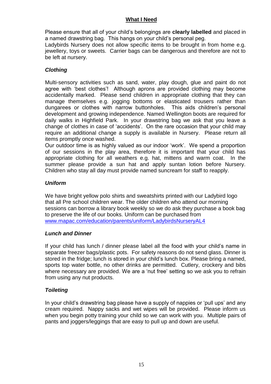## **What I Need**

Please ensure that all of your child's belongings are **clearly labelled** and placed in a named drawstring bag. This hangs on your child's personal peg.

Ladybirds Nursery does not allow specific items to be brought in from home e.g. jewellery, toys or sweets. Carrier bags can be dangerous and therefore are not to be left at nursery.

# *Clothing*

Multi-sensory activities such as sand, water, play dough, glue and paint do not agree with 'best clothes'! Although aprons are provided clothing may become accidentally marked. Please send children in appropriate clothing that they can manage themselves e.g. jogging bottoms or elasticated trousers rather than dungarees or clothes with narrow buttonholes. This aids children's personal development and growing independence. Named Wellington boots are required for daily walks in Highfield Park. In your drawstring bag we ask that you leave a change of clothes in case of 'accidents'. On the rare occasion that your child may require an additional change a supply is available in Nursery. Please return all items promptly once washed.

Our outdoor time is as highly valued as our indoor 'work'. We spend a proportion of our sessions in the play area, therefore it is important that your child has appropriate clothing for all weathers e.g. hat, mittens and warm coat. In the summer please provide a sun hat and apply suntan lotion before Nursery. Children who stay all day must provide named suncream for staff to reapply.

## *Uniform*

We have bright yellow polo shirts and sweatshirts printed with our Ladybird logo that all Pre school children wear. The older children who attend our morning sessions can borrow a library book weekly so we do ask they purchase a book bag to preserve the life of our books. Uniform can be purchased from [www.mapac.com/education/parents/uniform/LadybirdsNurseryAL4](http://www.mapac.com/education/parents/uniform/LadybirdsNurseryAL4)

## *Lunch and Dinner*

If your child has lunch / dinner please label all the food with your child's name in separate freezer bags/plastic pots. For safety reasons do not send glass. Dinner is stored in the fridge; lunch is stored in your child's lunch box. Please bring a named, sports top water bottle, no other drinks are permitted. Cutlery, crockery and bibs where necessary are provided. We are a 'nut free' setting so we ask you to refrain from using any nut products.

## *Toileting*

In your child's drawstring bag please have a supply of nappies or 'pull ups' and any cream required. Nappy sacks and wet wipes will be provided. Please inform us when you begin potty training your child so we can work with you. Multiple pairs of pants and joggers/leggings that are easy to pull up and down are useful.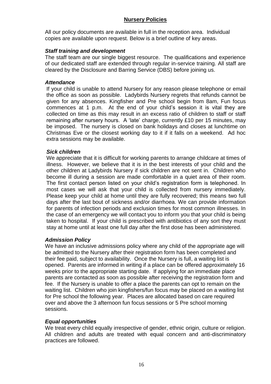## **Nursery Policies**

All our policy documents are available in full in the reception area. Individual copies are available upon request. Below is a brief outline of key areas.

## *Staff training and development*

The staff team are our single biggest resource. The qualifications and experience of our dedicated staff are extended through regular in-service training. All staff are cleared by the Disclosure and Barring Service (DBS) before joining us.

#### *Attendance*

If your child is unable to attend Nursery for any reason please telephone or email the office as soon as possible. Ladybirds Nursery regrets that refunds cannot be given for any absences. Kingfisher and Pre school begin from 8am, Fun focus commences at 1 p.m. At the end of your child's session it is vital they are collected on time as this may result in an excess ratio of children to staff or staff remaining after nursery hours. A 'late' charge, currently £10 per 15 minutes, may be imposed. The nursery is closed on bank holidays and closes at lunchtime on Christmas Eve or the closest working day to it if it falls on a weekend. Ad hoc extra sessions may be available.

## *Sick children*

We appreciate that it is difficult for working parents to arrange childcare at times of illness. However, we believe that it is in the best interests of your child and the other children at Ladybirds Nursery if sick children are not sent in. Children who become ill during a session are made comfortable in a quiet area of their room. The first contact person listed on your child's registration form is telephoned. In most cases we will ask that your child is collected from nursery immediately. Please keep your child at home until they are fully recovered; this means two full days after the last bout of sickness and/or diarrhoea. We can provide information for parents of infection periods and exclusion times for most common illnesses. In the case of an emergency we will contact you to inform you that your child is being taken to hospital. If your child is prescribed with antibiotics of any sort they must stay at home until at least one full day after the first dose has been administered.

## *Admission Policy*

We have an inclusive admissions policy where any child of the appropriate age will be admitted to the Nursery after their registration form has been completed and their fee paid, subject to availability. Once the Nursery is full, a waiting list is opened. Parents are informed in writing if a place can be offered approximately 16 weeks prior to the appropriate starting date. If applying for an immediate place parents are contacted as soon as possible after receiving the registration form and fee. If the Nursery is unable to offer a place the parents can opt to remain on the waiting list. Children who join kingfishers/fun focus may be placed on a waiting list for Pre school the following year. Places are allocated based on care required over and above the 3 afternoon fun focus sessions or 5 Pre school morning sessions.

## *Equal opportunities*

We treat every child equally irrespective of gender, ethnic origin, culture or religion. All children and adults are treated with equal concern and anti-discriminatory practices are followed.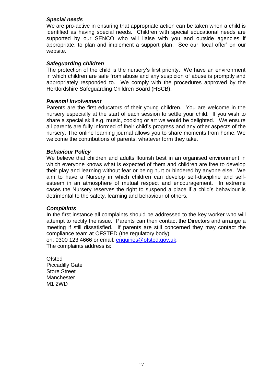#### *Special needs*

We are pro-active in ensuring that appropriate action can be taken when a child is identified as having special needs. Children with special educational needs are supported by our SENCO who will liaise with you and outside agencies if appropriate, to plan and implement a support plan. See our 'local offer' on our website.

#### *Safeguarding children*

The protection of the child is the nursery's first priority. We have an environment in which children are safe from abuse and any suspicion of abuse is promptly and appropriately responded to. We comply with the procedures approved by the Hertfordshire Safeguarding Children Board (HSCB).

#### *Parental Involvement*

Parents are the first educators of their young children. You are welcome in the nursery especially at the start of each session to settle your child. If you wish to share a special skill e.g. music, cooking or art we would be delighted. We ensure all parents are fully informed of their child's progress and any other aspects of the nursery. The online learning journal allows you to share moments from home. We welcome the contributions of parents, whatever form they take.

#### *Behaviour Policy*

We believe that children and adults flourish best in an organised environment in which everyone knows what is expected of them and children are free to develop their play and learning without fear or being hurt or hindered by anyone else. We aim to have a Nursery in which children can develop self-discipline and selfesteem in an atmosphere of mutual respect and encouragement. In extreme cases the Nursery reserves the right to suspend a place if a child's behaviour is detrimental to the safety, learning and behaviour of others.

#### *Complaints*

In the first instance all complaints should be addressed to the key worker who will attempt to rectify the issue. Parents can then contact the Directors and arrange a meeting if still dissatisfied. If parents are still concerned they may contact the compliance team at OFSTED (the regulatory body) on: 0300 123 4666 or email: [enquiries@ofsted.gov.uk.](mailto:enquiries@ofsted.gov.uk)

The complaints address is:

**Ofsted** Piccadilly Gate Store Street **Manchester** M1 2WD